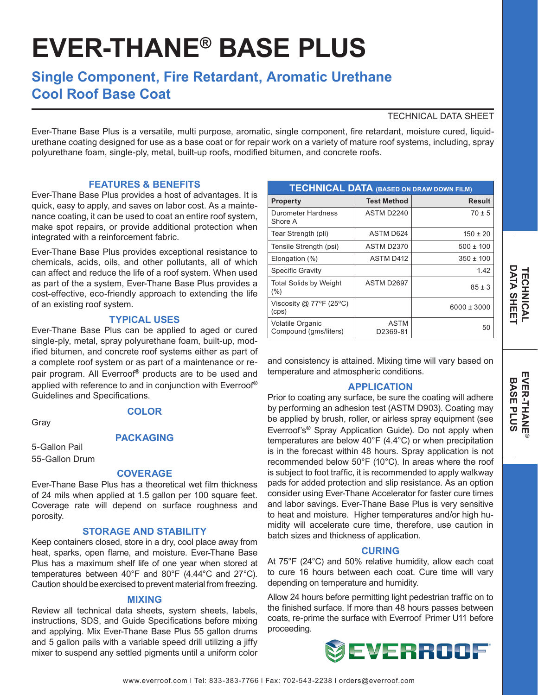# **EVER-THANE® BASE PLUS**

# **Single Component, Fire Retardant, Aromatic Urethane Cool Roof Base Coat**

## TECHNICAL DATA SHEET

Ever-Thane Base Plus is a versatile, multi purpose, aromatic, single component, fire retardant, moisture cured, liquidurethane coating designed for use as a base coat or for repair work on a variety of mature roof systems, including, spray polyurethane foam, single-ply, metal, built-up roofs, modified bitumen, and concrete roofs.

### **FEATURES & BENEFITS**

Ever-Thane Base Plus provides a host of advantages. It is quick, easy to apply, and saves on labor cost. As a maintenance coating, it can be used to coat an entire roof system, make spot repairs, or provide additional protection when integrated with a reinforcement fabric.

Ever-Thane Base Plus provides exceptional resistance to chemicals, acids, oils, and other pollutants, all of which can affect and reduce the life of a roof system. When used as part of the a system, Ever-Thane Base Plus provides a cost-effective, eco-friendly approach to extending the life of an existing roof system.

#### **TYPICAL USES**

Ever-Thane Base Plus can be applied to aged or cured single-ply, metal, spray polyurethane foam, built-up, modified bitumen, and concrete roof systems either as part of a complete roof system or as part of a maintenance or repair program. All Everroof**®** products are to be used and applied with reference to and in conjunction with Everroof**®** Guidelines and Specifications.

Gray

# **COLOR**

**PACKAGING**

5-Gallon Pail 55-Gallon Drum

# **COVERAGE**

Ever-Thane Base Plus has a theoretical wet film thickness of 24 mils when applied at 1.5 gallon per 100 square feet. Coverage rate will depend on surface roughness and porosity.

#### **STORAGE AND STABILITY**

Keep containers closed, store in a dry, cool place away from heat, sparks, open flame, and moisture. Ever-Thane Base Plus has a maximum shelf life of one year when stored at temperatures between 40°F and 80°F (4.44°C and 27°C). Caution should be exercised to prevent material from freezing.

#### **MIXING**

Review all technical data sheets, system sheets, labels, instructions, SDS, and Guide Specifications before mixing and applying. Mix Ever-Thane Base Plus 55 gallon drums and 5 gallon pails with a variable speed drill utilizing a jiffy mixer to suspend any settled pigments until a uniform color

| <b>TECHNICAL DATA (BASED ON DRAW DOWN FILM)</b> |                         |                 |
|-------------------------------------------------|-------------------------|-----------------|
| <b>Property</b>                                 | <b>Test Method</b>      | Result          |
| Durometer Hardness<br>Shore A                   | ASTM D2240              | $70 \pm 5$      |
| Tear Strength (pli)                             | ASTM D624               | $150 \pm 20$    |
| Tensile Strength (psi)                          | <b>ASTM D2370</b>       | $500 \pm 100$   |
| Elongation (%)                                  | <b>ASTM D412</b>        | $350 \pm 100$   |
| <b>Specific Gravity</b>                         |                         | 1.42            |
| <b>Total Solids by Weight</b><br>(%)            | ASTM D2697              | $85 \pm 3$      |
| Viscosity @ 77°F (25°C)<br>(cps)                |                         | $6000 \pm 3000$ |
| Volatile Organic<br>Compound (gms/liters)       | <b>ASTM</b><br>D2369-81 | 50              |

and consistency is attained. Mixing time will vary based on temperature and atmospheric conditions.

#### **APPLICATION**

Prior to coating any surface, be sure the coating will adhere by performing an adhesion test (ASTM D903). Coating may be applied by brush, roller, or airless spray equipment (see Everroof's**®** Spray Application Guide). Do not apply when temperatures are below 40°F (4.4°C) or when precipitation is in the forecast within 48 hours. Spray application is not recommended below 50°F (10°C). In areas where the roof is subject to foot traffic, it is recommended to apply walkway pads for added protection and slip resistance. As an option consider using Ever-Thane Accelerator for faster cure times and labor savings. Ever-Thane Base Plus is very sensitive to heat and moisture. Higher temperatures and/or high humidity will accelerate cure time, therefore, use caution in batch sizes and thickness of application.

#### **CURING**

At 75°F (24°C) and 50% relative humidity, allow each coat to cure 16 hours between each coat. Cure time will vary depending on temperature and humidity.

Allow 24 hours before permitting light pedestrian traffic on to the finished surface. If more than 48 hours passes between coats, re-prime the surface with Everroof Primer U11 before proceeding.

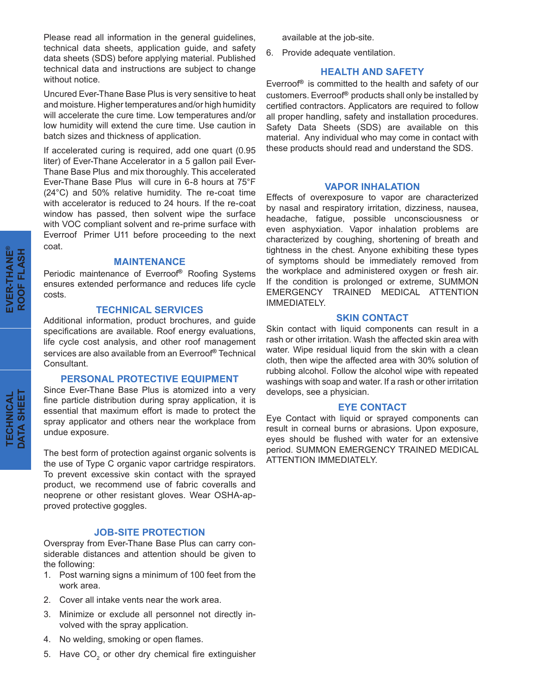Please read all information in the general guidelines, technical data sheets, application guide, and safety data sheets (SDS) before applying material. Published technical data and instructions are subject to change without notice.

Uncured Ever-Thane Base Plus is very sensitive to heat and moisture. Higher temperatures and/or high humidity will accelerate the cure time. Low temperatures and/or low humidity will extend the cure time. Use caution in batch sizes and thickness of application.

If accelerated curing is required, add one quart (0.95 liter) of Ever-Thane Accelerator in a 5 gallon pail Ever-Thane Base Plus and mix thoroughly. This accelerated Ever-Thane Base Plus will cure in 6-8 hours at 75°F (24°C) and 50% relative humidity. The re-coat time with accelerator is reduced to 24 hours. If the re-coat window has passed, then solvent wipe the surface with VOC compliant solvent and re-prime surface with Everroof Primer U11 before proceeding to the next coat.

#### **MAINTENANCE**

Periodic maintenance of Everroof**®** Roofing Systems ensures extended performance and reduces life cycle costs.

#### **TECHNICAL SERVICES**

Additional information, product brochures, and guide specifications are available. Roof energy evaluations, life cycle cost analysis, and other roof management services are also available from an Everroof**®** Technical Consultant.

#### **PERSONAL PROTECTIVE EQUIPMENT**

Since Ever-Thane Base Plus is atomized into a very fine particle distribution during spray application, it is essential that maximum effort is made to protect the spray applicator and others near the workplace from undue exposure.

The best form of protection against organic solvents is the use of Type C organic vapor cartridge respirators. To prevent excessive skin contact with the sprayed product, we recommend use of fabric coveralls and neoprene or other resistant gloves. Wear OSHA-approved protective goggles.

#### **JOB-SITE PROTECTION**

Overspray from Ever-Thane Base Plus can carry considerable distances and attention should be given to the following:

- 1. Post warning signs a minimum of 100 feet from the work area.
- 2. Cover all intake vents near the work area.
- 3. Minimize or exclude all personnel not directly involved with the spray application.
- 4. No welding, smoking or open flames.
- 5. Have  $\mathsf{CO}_2$  or other dry chemical fire extinguisher

available at the job-site.

6. Provide adequate ventilation.

#### **HEALTH AND SAFETY**

Everroof**®** is committed to the health and safety of our customers. Everroof**®** products shall only be installed by certified contractors. Applicators are required to follow all proper handling, safety and installation procedures. Safety Data Sheets (SDS) are available on this material. Any individual who may come in contact with these products should read and understand the SDS.

#### **VAPOR INHALATION**

Effects of overexposure to vapor are characterized by nasal and respiratory irritation, dizziness, nausea, headache, fatigue, possible unconsciousness or even asphyxiation. Vapor inhalation problems are characterized by coughing, shortening of breath and tightness in the chest. Anyone exhibiting these types of symptoms should be immediately removed from the workplace and administered oxygen or fresh air. If the condition is prolonged or extreme, SUMMON EMERGENCY TRAINED MEDICAL ATTENTION IMMEDIATELY.

#### **SKIN CONTACT**

Skin contact with liquid components can result in a rash or other irritation. Wash the affected skin area with water. Wipe residual liquid from the skin with a clean cloth, then wipe the affected area with 30% solution of rubbing alcohol. Follow the alcohol wipe with repeated washings with soap and water. If a rash or other irritation develops, see a physician.

#### **EYE CONTACT**

Eye Contact with liquid or sprayed components can result in corneal burns or abrasions. Upon exposure, eyes should be flushed with water for an extensive period. SUMMON EMERGENCY TRAINED MEDICAL ATTENTION IMMEDIATELY.